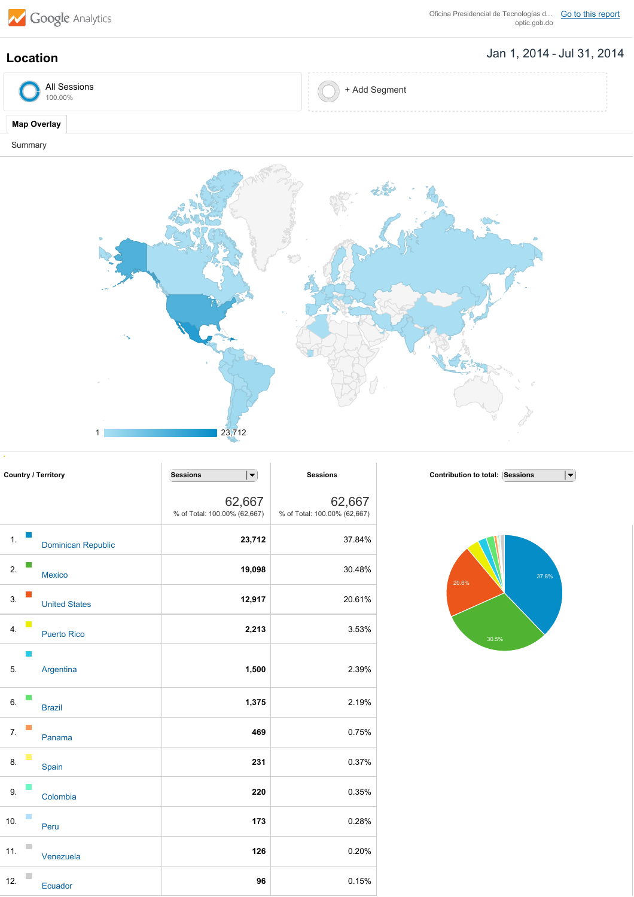

Oficina Presidencial de Tecnologías d... Go to this [report](https://www.google.com/analytics/web/?hl=en&utm_source=pdfReportLink#report/visitors-geo/a38437375w75582751p78098861/%3F_u.date00%3D20140101%26_u.date01%3D20140731%26geo-table-tableMode.selected%3Dpie%26geo-table.plotKeys%3D%5B%5D%26geo-table.rowCount%3D5000%26geo-segmentExplorer.segmentId%3Danalytics.country/)<br>optic.gob.do

**Contribution to total:** Sessions

20.6%

37.8%

 $\overline{|\bullet|}$ 

## Jan 1, 2014 Jul 31, 2014 **Location**

| All Sessions<br>00.00% | ∙ Add Segment<br><b><i><u>Commercial</u></i></b> |
|------------------------|--------------------------------------------------|
|                        |                                                  |

## **Map Overlay**

Summary



| <b>Country / Territory</b> |    |                           | <b>Sessions</b><br>$\vert \blacktriangledown$ | <b>Sessions</b>                        |
|----------------------------|----|---------------------------|-----------------------------------------------|----------------------------------------|
|                            |    |                           | 62,667<br>% of Total: 100.00% (62,667)        | 62,667<br>% of Total: 100.00% (62,667) |
| 1.                         |    | <b>Dominican Republic</b> | 23,712                                        | 37.84%                                 |
| 2.                         |    | <b>Mexico</b>             | 19,098                                        | 30.48%                                 |
| 3.                         |    | <b>United States</b>      | 12,917                                        | 20.61%                                 |
| 4.                         | L. | <b>Puerto Rico</b>        | 2,213                                         | 3.53%                                  |
| 5.                         |    | Argentina                 | 1,500                                         | 2.39%                                  |
| 6.                         |    | <b>Brazil</b>             | 1,375                                         | 2.19%                                  |
| 7.                         |    | Panama                    | 469                                           | 0.75%                                  |
| 8.                         |    | Spain                     | 231                                           | 0.37%                                  |
| 9.                         |    | Colombia                  | 220                                           | 0.35%                                  |
| 10.                        |    | Peru                      | 173                                           | 0.28%                                  |
| 11.                        |    | Venezuela                 | 126                                           | 0.20%                                  |
| 12.                        |    | Ecuador                   | 96                                            | 0.15%                                  |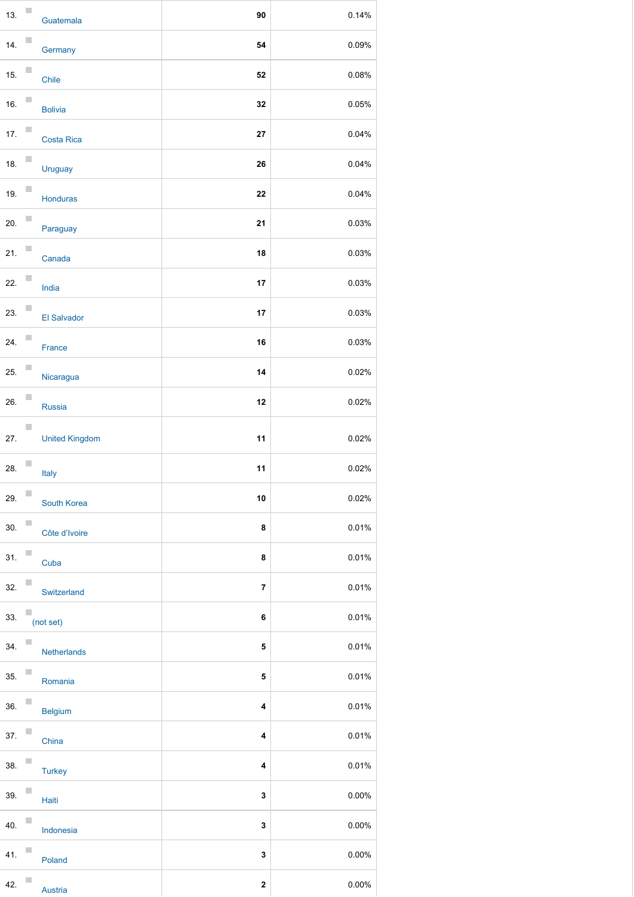| 13. | T.             | Guatemala             | 90                      | 0.14% |
|-----|----------------|-----------------------|-------------------------|-------|
| 14. |                | Germany               | 54                      | 0.09% |
| 15. |                | Chile                 | 52                      | 0.08% |
| 16. |                | <b>Bolivia</b>        | 32                      | 0.05% |
| 17. |                | <b>Costa Rica</b>     | 27                      | 0.04% |
| 18. |                | Uruguay               | 26                      | 0.04% |
| 19. |                | Honduras              | 22                      | 0.04% |
| 20. |                | Paraguay              | 21                      | 0.03% |
| 21. |                | Canada                | 18                      | 0.03% |
| 22. |                | India                 | 17                      | 0.03% |
| 23. |                | El Salvador           | 17                      | 0.03% |
| 24. |                | France                | 16                      | 0.03% |
| 25. |                | Nicaragua             | 14                      | 0.02% |
| 26. |                | Russia                | 12                      | 0.02% |
| 27. | П              | <b>United Kingdom</b> | 11                      | 0.02% |
| 28. |                | Italy                 | 11                      | 0.02% |
| 29. | $\mathbb{R}^n$ | South Korea           | 10                      | 0.02% |
| 30. |                | Côte d'Ivoire         | 8                       | 0.01% |
| 31. |                | Cuba                  | 8                       | 0.01% |
| 32. |                | Switzerland           | $\overline{\mathbf{z}}$ | 0.01% |
| 33. |                | (not set)             | 6                       | 0.01% |
| 34. |                | Netherlands           | 5                       | 0.01% |
| 35. |                | Romania               | 5                       | 0.01% |
| 36. |                | <b>Belgium</b>        | 4                       | 0.01% |
| 37. |                | China                 | 4                       | 0.01% |
| 38. |                | <b>Turkey</b>         | 4                       | 0.01% |
| 39. |                | Haiti                 | 3                       | 0.00% |
| 40. |                | Indonesia             | 3                       | 0.00% |
| 41. |                | Poland                | 3                       | 0.00% |
| 42. |                | Austria               | $\boldsymbol{2}$        | 0.00% |